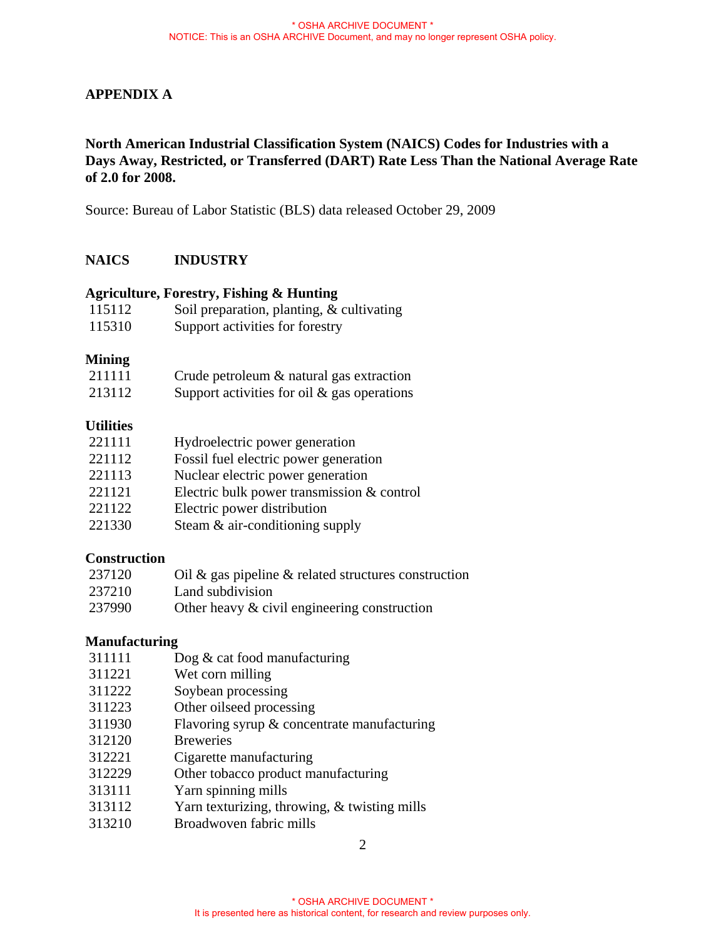# **APPENDIX A**

**North American Industrial Classification System (NAICS) Codes for Industries with a Days Away, Restricted, or Transferred (DART) Rate Less Than the National Average Rate of 2.0 for 2008.**

Source: Bureau of Labor Statistic (BLS) data released October 29, 2009

# **NAICS INDUSTRY**

### **Agriculture, Forestry, Fishing & Hunting**

| 115112 | Soil preparation, planting, $\&$ cultivating |
|--------|----------------------------------------------|
| 115310 | Support activities for forestry              |

### **Mining**

213112 Support activities for oil & gas operations

## **Utilities**

| 221111 | Hydroelectric power generation             |
|--------|--------------------------------------------|
| 221112 | Fossil fuel electric power generation      |
| 221113 | Nuclear electric power generation          |
| 221121 | Electric bulk power transmission & control |
| 221122 | Electric power distribution                |
| 221330 | Steam & air-conditioning supply            |

## **Construction**

| 237120 | Oil $\&$ gas pipeline $\&$ related structures construction |
|--------|------------------------------------------------------------|
| 237210 | Land subdivision                                           |
| 237990 | Other heavy $\&$ civil engineering construction            |

## **Manufacturing**

- 311111 Dog & cat food manufacturing
- 311221 Wet corn milling
- 311222 Soybean processing
- 311223 Other oilseed processing
- 311930 Flavoring syrup & concentrate manufacturing
- 312120 Breweries
- 312221 Cigarette manufacturing
- 312229 Other tobacco product manufacturing
- 313111 Yarn spinning mills
- 313112 Yarn texturizing, throwing, & twisting mills
- 313210 Broadwoven fabric mills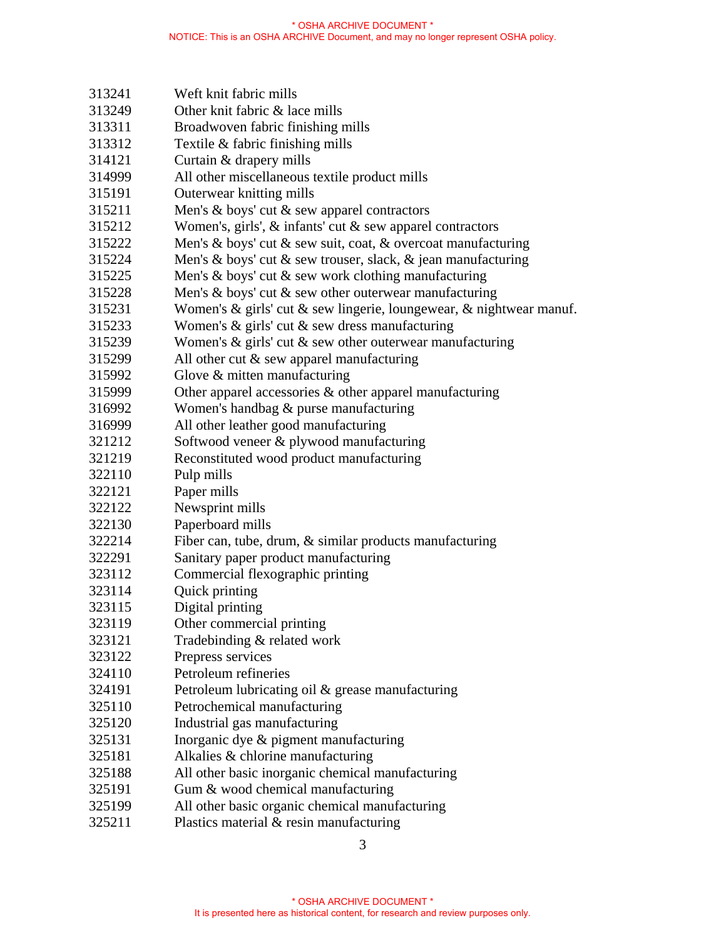| 313241<br>Weft knit fabric mills                                                       |  |
|----------------------------------------------------------------------------------------|--|
| Other knit fabric & lace mills<br>313249                                               |  |
| Broadwoven fabric finishing mills<br>313311                                            |  |
| Textile & fabric finishing mills<br>313312                                             |  |
| Curtain & drapery mills<br>314121                                                      |  |
| All other miscellaneous textile product mills<br>314999                                |  |
|                                                                                        |  |
| Outerwear knitting mills<br>315191                                                     |  |
| 315211<br>Men's & boys' cut & sew apparel contractors                                  |  |
| Women's, girls', $\&$ infants' cut $\&$ sew apparel contractors<br>315212              |  |
| 315222<br>Men's & boys' cut & sew suit, coat, & overcoat manufacturing                 |  |
| Men's & boys' cut & sew trouser, slack, $\&$ jean manufacturing<br>315224              |  |
| 315225<br>Men's $\&$ boys' cut $\&$ sew work clothing manufacturing                    |  |
| 315228<br>Men's $\&$ boys' cut $\&$ sew other outerwear manufacturing                  |  |
| Women's $\&$ girls' cut $\&$ sew lingerie, loungewear, $\&$ nightwear manuf.<br>315231 |  |
| Women's $\&$ girls' cut $\&$ sew dress manufacturing<br>315233                         |  |
| Women's $\&$ girls' cut $\&$ sew other outerwear manufacturing<br>315239               |  |
| 315299<br>All other cut $\&$ sew apparel manufacturing                                 |  |
| Glove $&$ mitten manufacturing<br>315992                                               |  |
| Other apparel accessories $\&$ other apparel manufacturing<br>315999                   |  |
| Women's handbag & purse manufacturing<br>316992                                        |  |
| All other leather good manufacturing<br>316999                                         |  |
| Softwood veneer & plywood manufacturing<br>321212                                      |  |
| 321219<br>Reconstituted wood product manufacturing                                     |  |
| Pulp mills<br>322110                                                                   |  |
| Paper mills<br>322121                                                                  |  |
| Newsprint mills<br>322122                                                              |  |
| Paperboard mills<br>322130                                                             |  |
| 322214<br>Fiber can, tube, drum, & similar products manufacturing                      |  |
| Sanitary paper product manufacturing<br>322291                                         |  |
| Commercial flexographic printing<br>323112                                             |  |
| 323114<br>Quick printing                                                               |  |
| Digital printing<br>323115                                                             |  |
| 323119<br>Other commercial printing                                                    |  |
| Tradebinding & related work<br>323121                                                  |  |
| 323122<br>Prepress services                                                            |  |
| Petroleum refineries<br>324110                                                         |  |
| 324191<br>Petroleum lubricating oil & grease manufacturing                             |  |
| 325110<br>Petrochemical manufacturing                                                  |  |
| Industrial gas manufacturing<br>325120                                                 |  |
| Inorganic dye & pigment manufacturing<br>325131                                        |  |
| 325181<br>Alkalies & chlorine manufacturing                                            |  |
| 325188<br>All other basic inorganic chemical manufacturing                             |  |
| Gum & wood chemical manufacturing<br>325191                                            |  |
| All other basic organic chemical manufacturing<br>325199                               |  |

325211 Plastics material & resin manufacturing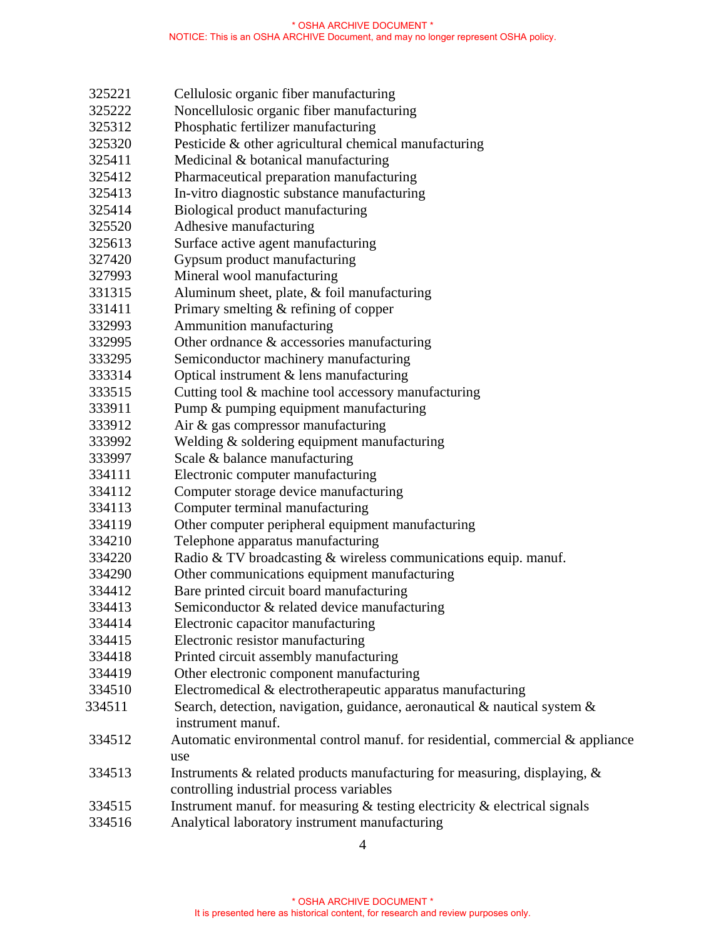| 325221 | Cellulosic organic fiber manufacturing                                           |
|--------|----------------------------------------------------------------------------------|
| 325222 | Noncellulosic organic fiber manufacturing                                        |
| 325312 | Phosphatic fertilizer manufacturing                                              |
| 325320 | Pesticide & other agricultural chemical manufacturing                            |
| 325411 | Medicinal & botanical manufacturing                                              |
| 325412 | Pharmaceutical preparation manufacturing                                         |
| 325413 | In-vitro diagnostic substance manufacturing                                      |
| 325414 | Biological product manufacturing                                                 |
| 325520 | Adhesive manufacturing                                                           |
| 325613 | Surface active agent manufacturing                                               |
| 327420 | Gypsum product manufacturing                                                     |
| 327993 | Mineral wool manufacturing                                                       |
| 331315 | Aluminum sheet, plate, $&$ foil manufacturing                                    |
| 331411 | Primary smelting $&$ refining of copper                                          |
| 332993 | Ammunition manufacturing                                                         |
| 332995 | Other ordnance & accessories manufacturing                                       |
| 333295 | Semiconductor machinery manufacturing                                            |
| 333314 | Optical instrument $&$ lens manufacturing                                        |
| 333515 | Cutting tool & machine tool accessory manufacturing                              |
| 333911 | Pump & pumping equipment manufacturing                                           |
| 333912 | Air & gas compressor manufacturing                                               |
| 333992 | Welding & soldering equipment manufacturing                                      |
| 333997 | Scale & balance manufacturing                                                    |
| 334111 | Electronic computer manufacturing                                                |
| 334112 | Computer storage device manufacturing                                            |
| 334113 | Computer terminal manufacturing                                                  |
| 334119 | Other computer peripheral equipment manufacturing                                |
| 334210 | Telephone apparatus manufacturing                                                |
| 334220 | Radio & TV broadcasting & wireless communications equip. manuf.                  |
| 334290 | Other communications equipment manufacturing                                     |
| 334412 | Bare printed circuit board manufacturing                                         |
| 334413 | Semiconductor & related device manufacturing                                     |
| 334414 | Electronic capacitor manufacturing                                               |
| 334415 | Electronic resistor manufacturing                                                |
| 334418 | Printed circuit assembly manufacturing                                           |
| 334419 | Other electronic component manufacturing                                         |
| 334510 | Electromedical & electrotherapeutic apparatus manufacturing                      |
| 334511 | Search, detection, navigation, guidance, aeronautical & nautical system &        |
|        | instrument manuf.                                                                |
| 334512 | Automatic environmental control manuf. for residential, commercial & appliance   |
|        | use                                                                              |
| 334513 | Instruments & related products manufacturing for measuring, displaying, &        |
|        | controlling industrial process variables                                         |
| 334515 | Instrument manuf. for measuring $\&$ testing electricity $\&$ electrical signals |
| 334516 | Analytical laboratory instrument manufacturing                                   |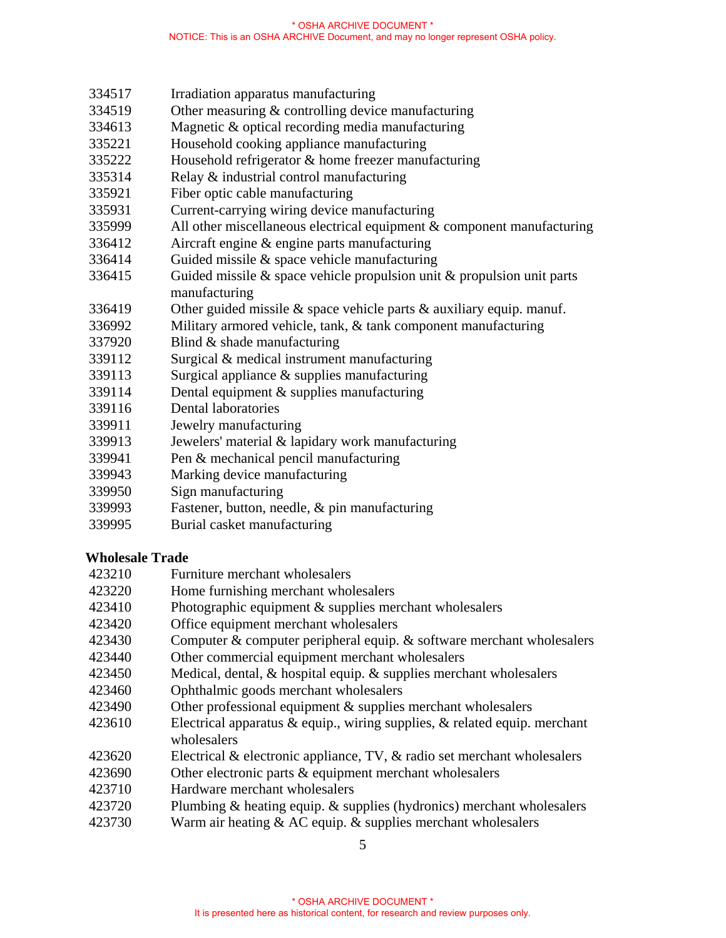- 334517 Irradiation apparatus manufacturing
- 334519 Other measuring & controlling device manufacturing
- 334613 Magnetic & optical recording media manufacturing
- 335221 Household cooking appliance manufacturing
- 335222 Household refrigerator & home freezer manufacturing
- 335314 Relay & industrial control manufacturing
- 335921 Fiber optic cable manufacturing
- 335931 Current-carrying wiring device manufacturing
- 335999 All other miscellaneous electrical equipment & component manufacturing
- 336412 Aircraft engine & engine parts manufacturing
- 336414 Guided missile & space vehicle manufacturing
- 336415 Guided missile & space vehicle propulsion unit & propulsion unit parts manufacturing
- 336419 Other guided missile  $\&$  space vehicle parts  $\&$  auxiliary equip. manuf.
- 336992 Military armored vehicle, tank, & tank component manufacturing
- 337920 Blind & shade manufacturing
- 339112 Surgical & medical instrument manufacturing
- 339113 Surgical appliance & supplies manufacturing
- 339114 Dental equipment & supplies manufacturing
- 339116 Dental laboratories
- 339911 Jewelry manufacturing
- 339913 Jewelers' material & lapidary work manufacturing
- 339941 Pen & mechanical pencil manufacturing
- 339943 Marking device manufacturing
- 339950 Sign manufacturing
- 339993 Fastener, button, needle, & pin manufacturing
- 339995 Burial casket manufacturing

#### **Wholesale Trade**

- 423210 Furniture merchant wholesalers
- 423220 Home furnishing merchant wholesalers
- 423410 Photographic equipment & supplies merchant wholesalers
- 423420 Office equipment merchant wholesalers
- 423430 Computer & computer peripheral equip. & software merchant wholesalers
- 423440 Other commercial equipment merchant wholesalers
- 423450 Medical, dental, & hospital equip. & supplies merchant wholesalers
- 423460 Ophthalmic goods merchant wholesalers
- 423490 Other professional equipment & supplies merchant wholesalers
- 423610 Electrical apparatus  $\&$  equip., wiring supplies,  $\&$  related equip. merchant wholesalers
- 423620 Electrical & electronic appliance, TV, & radio set merchant wholesalers
- 423690 Other electronic parts & equipment merchant wholesalers
- 423710 Hardware merchant wholesalers
- 423720 Plumbing & heating equip. & supplies (hydronics) merchant wholesalers
- 423730 Warm air heating & AC equip. & supplies merchant wholesalers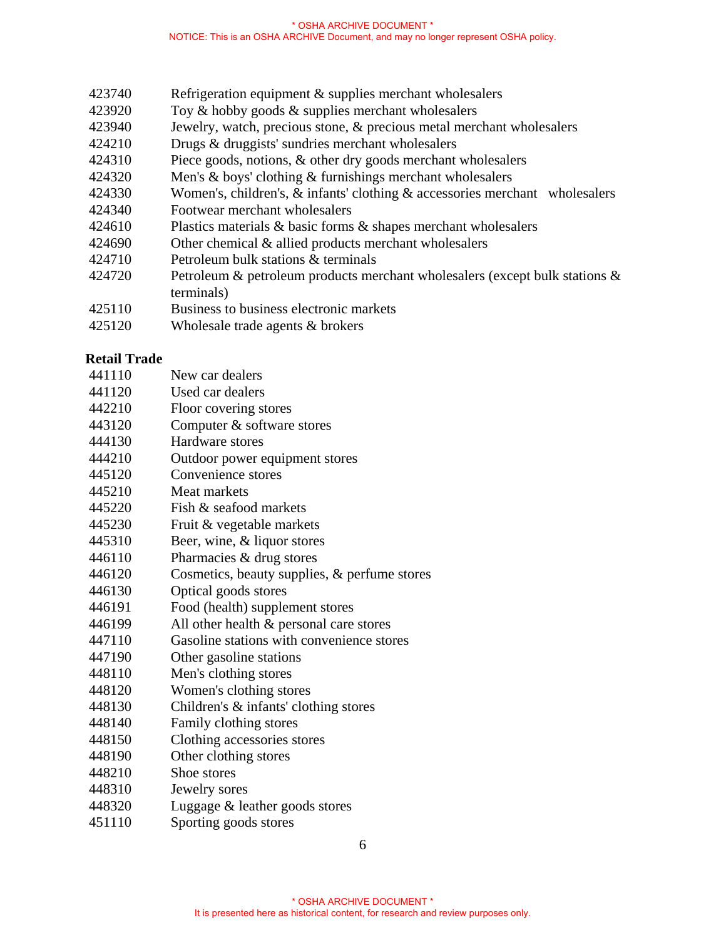- 423740 Refrigeration equipment & supplies merchant wholesalers
- 423920 Toy & hobby goods & supplies merchant wholesalers
- 423940 Jewelry, watch, precious stone, & precious metal merchant wholesalers
- 424210 Drugs & druggists' sundries merchant wholesalers
- 424310 Piece goods, notions, & other dry goods merchant wholesalers
- 424320 Men's & boys' clothing & furnishings merchant wholesalers
- 424330 Women's, children's, & infants' clothing & accessories merchant wholesalers
- 424340 Footwear merchant wholesalers
- 424610 Plastics materials & basic forms & shapes merchant wholesalers
- 424690 Other chemical & allied products merchant wholesalers
- 424710 Petroleum bulk stations & terminals
- 424720 Petroleum & petroleum products merchant wholesalers (except bulk stations & terminals)
- 425110 Business to business electronic markets
- 425120 Wholesale trade agents & brokers

### **Retail Trade**

- 441110 New car dealers
- 441120 Used car dealers
- 442210 Floor covering stores
- 443120 Computer & software stores
- 444130 Hardware stores
- 444210 Outdoor power equipment stores
- 445120 Convenience stores
- 445210 Meat markets
- 445220 Fish & seafood markets
- 445230 Fruit & vegetable markets
- 445310 Beer, wine, & liquor stores
- 446110 Pharmacies & drug stores
- 446120 Cosmetics, beauty supplies, & perfume stores
- 446130 Optical goods stores
- 446191 Food (health) supplement stores
- 446199 All other health & personal care stores
- 447110 Gasoline stations with convenience stores
- 447190 Other gasoline stations
- 448110 Men's clothing stores
- 448120 Women's clothing stores
- 448130 Children's & infants' clothing stores
- 448140 Family clothing stores
- 448150 Clothing accessories stores
- 448190 Other clothing stores
- 448210 Shoe stores
- 448310 Jewelry sores
- 448320 Luggage & leather goods stores
- 451110 Sporting goods stores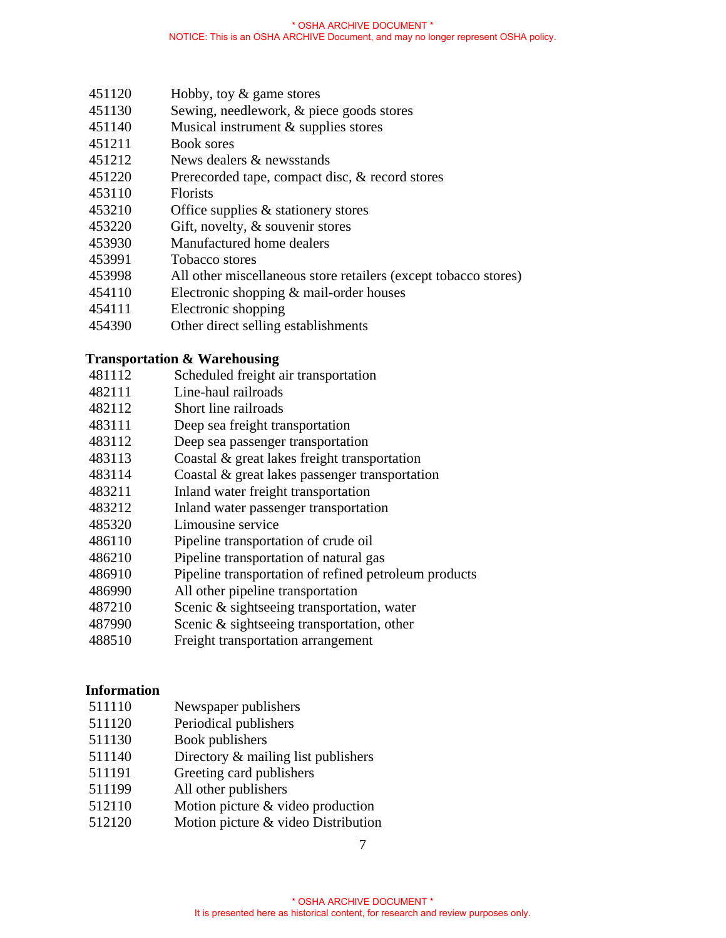- 451120 Hobby, toy & game stores
- 451130 Sewing, needlework, & piece goods stores
- 451140 Musical instrument & supplies stores
- 451211 Book sores
- 451212 News dealers & newsstands
- 451220 Prerecorded tape, compact disc, & record stores
- 453110 Florists
- 453210 Office supplies & stationery stores
- 453220 Gift, novelty, & souvenir stores
- 453930 Manufactured home dealers
- 453991 Tobacco stores
- 453998 All other miscellaneous store retailers (except tobacco stores)
- 454110 Electronic shopping & mail-order houses
- 454111 Electronic shopping
- 454390 Other direct selling establishments

### **Transportation & Warehousing**

- 481112 Scheduled freight air transportation
- 482111 Line-haul railroads
- 482112 Short line railroads
- 483111 Deep sea freight transportation
- 483112 Deep sea passenger transportation
- 483113 Coastal & great lakes freight transportation
- 483114 Coastal & great lakes passenger transportation
- 483211 Inland water freight transportation
- 483212 Inland water passenger transportation
- 485320 Limousine service
- 486110 Pipeline transportation of crude oil
- 486210 Pipeline transportation of natural gas
- 486910 Pipeline transportation of refined petroleum products
- 486990 All other pipeline transportation
- 487210 Scenic & sightseeing transportation, water
- 487990 Scenic & sightseeing transportation, other
- 488510 Freight transportation arrangement

## **Information**

- 511110 Newspaper publishers
- 511120 Periodical publishers
- 511130 Book publishers
- 511140 Directory & mailing list publishers
- 511191 Greeting card publishers
- 511199 All other publishers
- 512110 Motion picture & video production
- 512120 Motion picture & video Distribution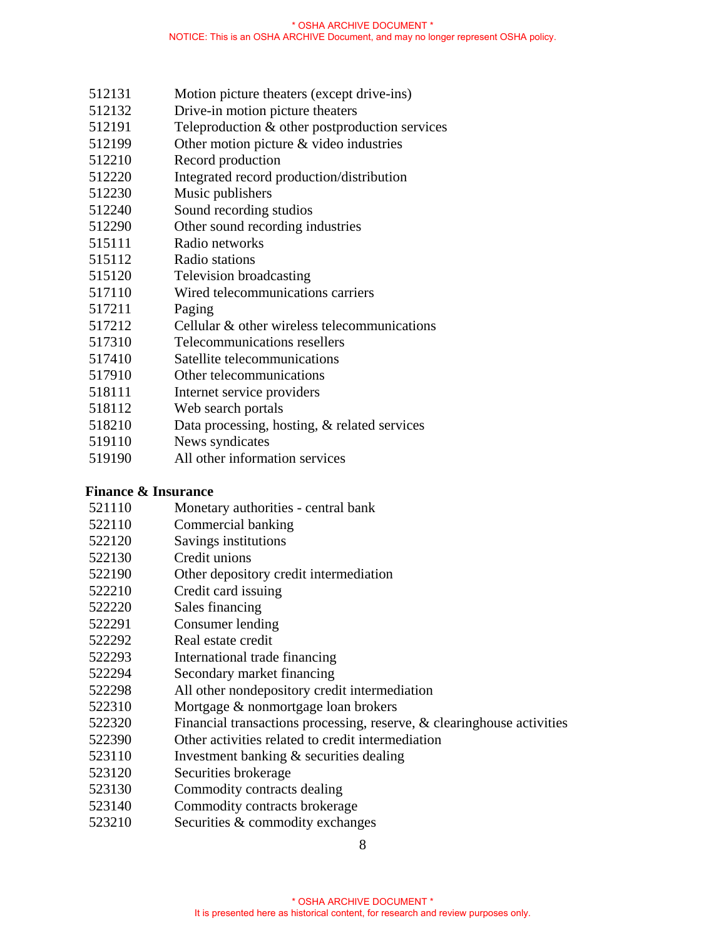- 512131 Motion picture theaters (except drive-ins)
- 512132 Drive-in motion picture theaters
- 512191 Teleproduction & other postproduction services
- 512199 Other motion picture & video industries
- 512210 Record production
- 512220 Integrated record production/distribution
- 512230 Music publishers
- 512240 Sound recording studios
- 512290 Other sound recording industries
- 515111 Radio networks
- 515112 Radio stations
- 515120 Television broadcasting
- 517110 Wired telecommunications carriers
- 517211 Paging
- 517212 Cellular & other wireless telecommunications
- 517310 Telecommunications resellers
- 517410 Satellite telecommunications
- 517910 Other telecommunications
- 518111 Internet service providers
- 518112 Web search portals
- 518210 Data processing, hosting, & related services
- 519110 News syndicates
- 519190 All other information services

#### **Finance & Insurance**

- 521110 Monetary authorities central bank
- 522110 Commercial banking
- 522120 Savings institutions
- 522130 Credit unions
- 522190 Other depository credit intermediation
- 522210 Credit card issuing
- 522220 Sales financing
- 522291 Consumer lending
- 522292 Real estate credit
- 522293 International trade financing
- 522294 Secondary market financing
- 522298 All other nondepository credit intermediation
- 522310 Mortgage & nonmortgage loan brokers
- 522320 Financial transactions processing, reserve, & clearinghouse activities
- 522390 Other activities related to credit intermediation
- 523110 Investment banking & securities dealing
- 523120 Securities brokerage
- 523130 Commodity contracts dealing
- 523140 Commodity contracts brokerage
- 523210 Securities & commodity exchanges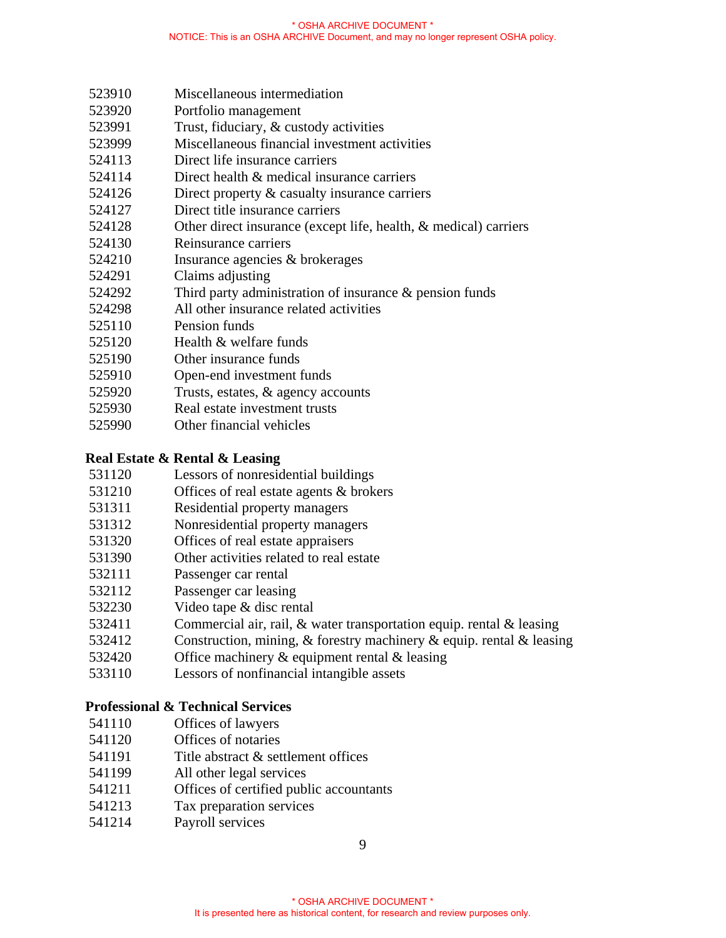- 523910 Miscellaneous intermediation
- 523920 Portfolio management
- 523991 Trust, fiduciary, & custody activities
- 523999 Miscellaneous financial investment activities
- 524113 Direct life insurance carriers
- 524114 Direct health & medical insurance carriers
- 524126 Direct property & casualty insurance carriers
- 524127 Direct title insurance carriers
- 524128 Other direct insurance (except life, health, & medical) carriers
- 524130 Reinsurance carriers
- 524210 Insurance agencies & brokerages
- 524291 Claims adjusting
- 524292 Third party administration of insurance & pension funds
- 524298 All other insurance related activities
- 525110 Pension funds
- 525120 Health & welfare funds
- 525190 Other insurance funds
- 525910 Open-end investment funds
- 525920 Trusts, estates, & agency accounts
- 525930 Real estate investment trusts
- 525990 Other financial vehicles

#### **Real Estate & Rental & Leasing**

- 531120 Lessors of nonresidential buildings
- 531210 Offices of real estate agents & brokers
- 531311 Residential property managers
- 531312 Nonresidential property managers
- 531320 Offices of real estate appraisers
- 531390 Other activities related to real estate
- 532111 Passenger car rental
- 532112 Passenger car leasing
- 532230 Video tape & disc rental
- 532411 Commercial air, rail, & water transportation equip. rental & leasing
- 532412 Construction, mining, & forestry machinery & equip. rental & leasing
- 532420 Office machinery & equipment rental & leasing
- 533110 Lessors of nonfinancial intangible assets

### **Professional & Technical Services**

- 541110 Offices of lawyers
- 541120 Offices of notaries
- 541191 Title abstract & settlement offices
- 541199 All other legal services
- 541211 Offices of certified public accountants
- 541213 Tax preparation services
- 541214 Payroll services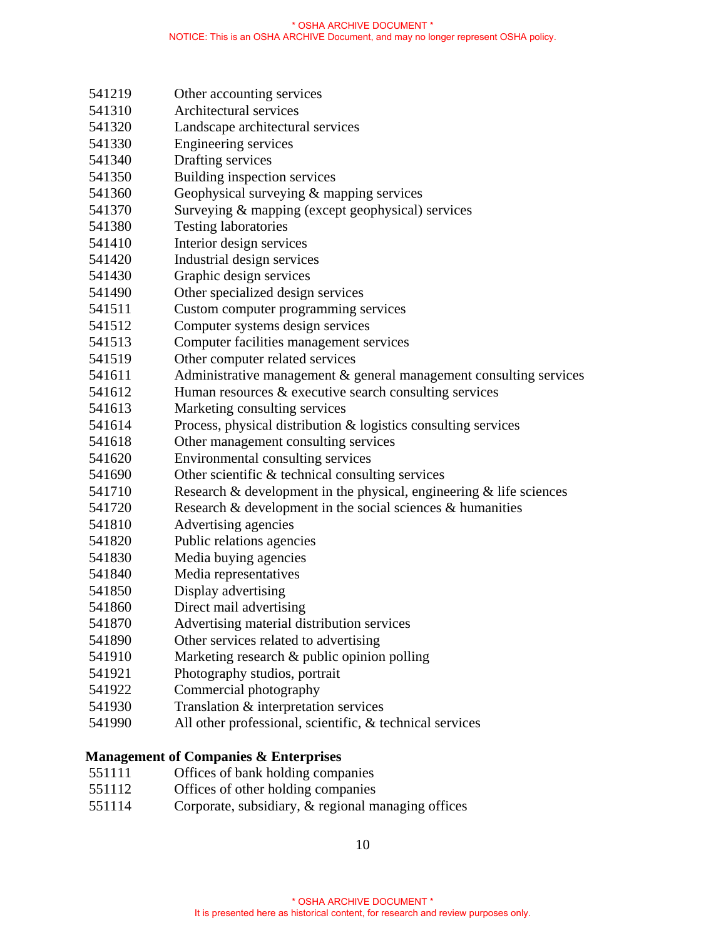- 541219 Other accounting services
- 541310 Architectural services
- 541320 Landscape architectural services
- 541330 Engineering services
- 541340 Drafting services
- 541350 Building inspection services
- 541360 Geophysical surveying & mapping services
- 541370 Surveying & mapping (except geophysical) services
- 541380 Testing laboratories
- 541410 Interior design services
- 541420 Industrial design services
- 541430 Graphic design services
- 541490 Other specialized design services
- 541511 Custom computer programming services
- 541512 Computer systems design services
- 541513 Computer facilities management services
- 541519 Other computer related services
- 541611 Administrative management & general management consulting services
- 541612 Human resources & executive search consulting services
- 541613 Marketing consulting services
- 541614 Process, physical distribution & logistics consulting services
- 541618 Other management consulting services
- 541620 Environmental consulting services
- 541690 Other scientific & technical consulting services
- 541710 Research  $&$  development in the physical, engineering  $&$  life sciences
- 541720 Research & development in the social sciences & humanities
- 541810 Advertising agencies
- 541820 Public relations agencies
- 541830 Media buying agencies
- 541840 Media representatives
- 541850 Display advertising
- 541860 Direct mail advertising
- 541870 Advertising material distribution services
- 541890 Other services related to advertising
- 541910 Marketing research & public opinion polling
- 541921 Photography studios, portrait
- 541922 Commercial photography
- 541930 Translation & interpretation services
- 541990 All other professional, scientific, & technical services

## **Management of Companies & Enterprises**

- 551111 Offices of bank holding companies
- 551112 Offices of other holding companies
- 551114 Corporate, subsidiary, & regional managing offices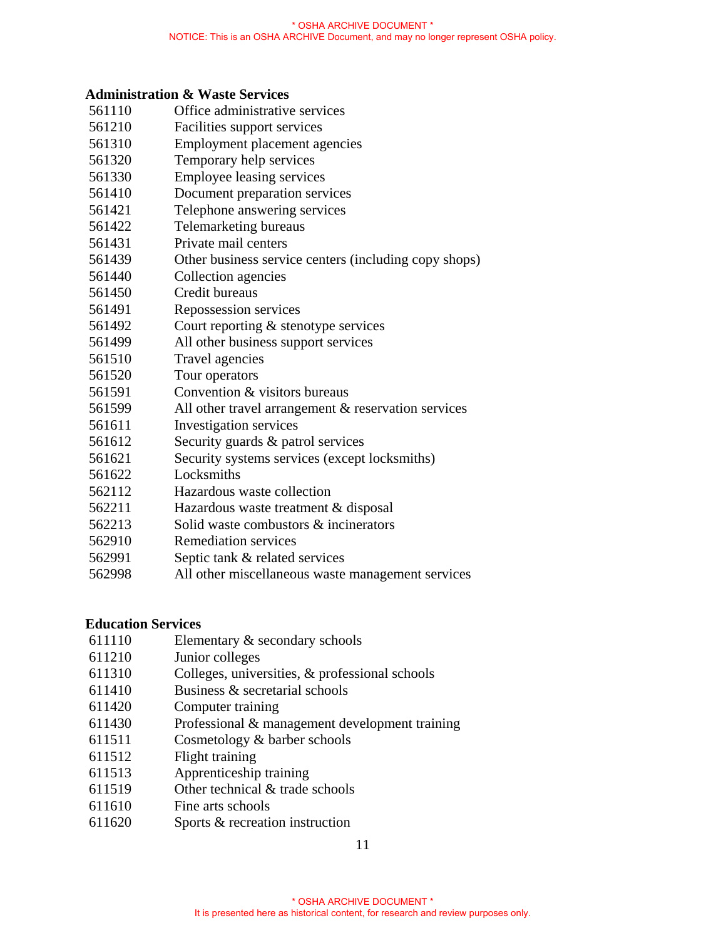### **Administration & Waste Services**

- 561110 Office administrative services
- 561210 Facilities support services
- 561310 Employment placement agencies
- 561320 Temporary help services
- 561330 Employee leasing services
- 561410 Document preparation services
- 561421 Telephone answering services
- 561422 Telemarketing bureaus
- 561431 Private mail centers
- 561439 Other business service centers (including copy shops)
- 561440 Collection agencies
- 561450 Credit bureaus
- 561491 Repossession services
- 561492 Court reporting & stenotype services
- 561499 All other business support services
- 561510 Travel agencies
- 561520 Tour operators
- 561591 Convention & visitors bureaus
- 561599 All other travel arrangement & reservation services
- 561611 Investigation services
- 561612 Security guards & patrol services
- 561621 Security systems services (except locksmiths)
- 561622 Locksmiths
- 562112 Hazardous waste collection
- 562211 Hazardous waste treatment & disposal
- 562213 Solid waste combustors & incinerators
- 562910 Remediation services
- 562991 Septic tank & related services
- 562998 All other miscellaneous waste management services

# **Education Services**

- 611110 Elementary & secondary schools
- 611210 Junior colleges
- 611310 Colleges, universities, & professional schools
- 611410 Business & secretarial schools
- 611420 Computer training
- 611430 Professional & management development training
- 611511 Cosmetology & barber schools
- 611512 Flight training
- 611513 Apprenticeship training
- 611519 Other technical & trade schools
- 611610 Fine arts schools
- 611620 Sports & recreation instruction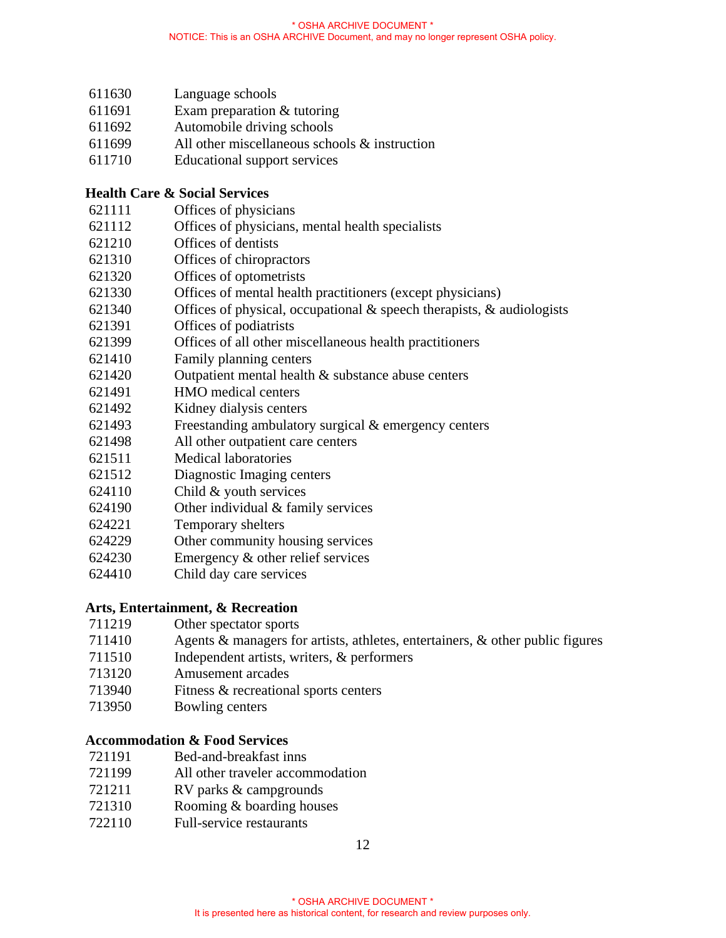- 611630 Language schools
- 611691 Exam preparation & tutoring
- 611692 Automobile driving schools
- 611699 All other miscellaneous schools & instruction
- 611710 Educational support services

## **Health Care & Social Services**

- 621111 Offices of physicians
- 621112 Offices of physicians, mental health specialists
- 621210 Offices of dentists
- 621310 Offices of chiropractors
- 621320 Offices of optometrists
- 621330 Offices of mental health practitioners (except physicians)
- 621340 Offices of physical, occupational  $\&$  speech therapists,  $\&$  audiologists
- 621391 Offices of podiatrists
- 621399 Offices of all other miscellaneous health practitioners
- 621410 Family planning centers
- 621420 Outpatient mental health & substance abuse centers
- 621491 HMO medical centers
- 621492 Kidney dialysis centers
- 621493 Freestanding ambulatory surgical & emergency centers
- 621498 All other outpatient care centers
- 621511 Medical laboratories
- 621512 Diagnostic Imaging centers
- 624110 Child & youth services
- 624190 Other individual & family services
- 624221 Temporary shelters
- 624229 Other community housing services
- 624230 Emergency & other relief services
- 624410 Child day care services

## **Arts, Entertainment, & Recreation**

- 711219 Other spectator sports
- 711410 Agents & managers for artists, athletes, entertainers, & other public figures
- 711510 Independent artists, writers, & performers
- 713120 Amusement arcades
- 713940 Fitness & recreational sports centers
- 713950 Bowling centers

## **Accommodation & Food Services**

- 721191 Bed-and-breakfast inns
- 721199 All other traveler accommodation
- 721211 RV parks & campgrounds
- 721310 Rooming & boarding houses
- 722110 Full-service restaurants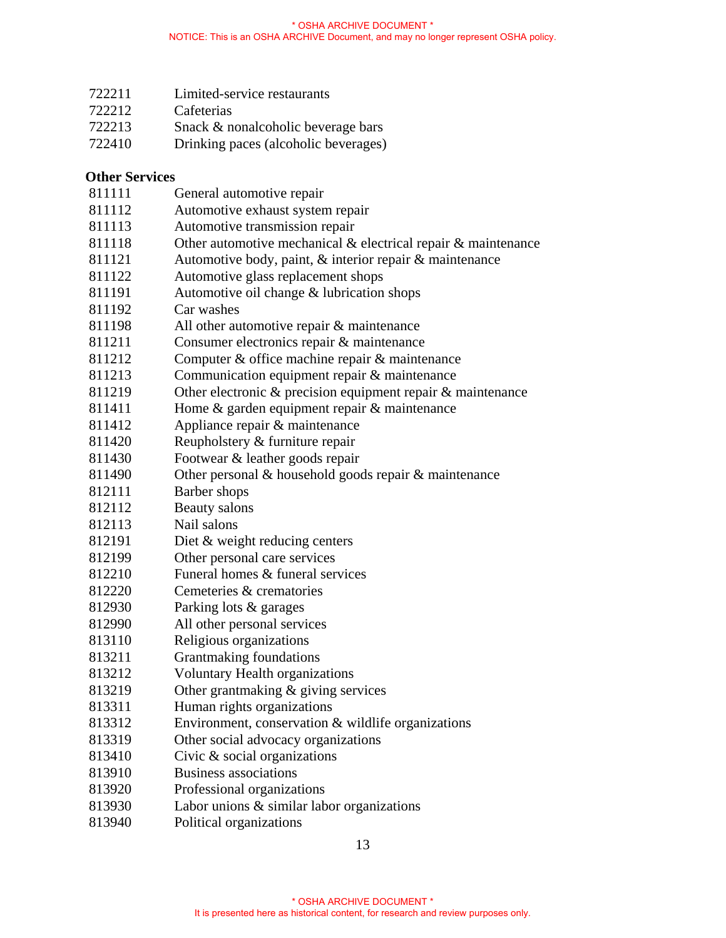- 722211 Limited-service restaurants
- 722212 Cafeterias
- 722213 Snack & nonalcoholic beverage bars
- 722410 Drinking paces (alcoholic beverages)

### **Other Services**

- 811111 General automotive repair
- 811112 Automotive exhaust system repair
- 811113 Automotive transmission repair
- 811118 Other automotive mechanical & electrical repair & maintenance
- 811121 Automotive body, paint, & interior repair & maintenance
- 811122 Automotive glass replacement shops
- 811191 Automotive oil change & lubrication shops
- 811192 Car washes
- 811198 All other automotive repair & maintenance
- 811211 Consumer electronics repair & maintenance
- 811212 Computer & office machine repair & maintenance
- 811213 Communication equipment repair & maintenance
- 811219 Other electronic & precision equipment repair & maintenance
- 811411 Home & garden equipment repair & maintenance
- 811412 Appliance repair & maintenance
- 811420 Reupholstery & furniture repair
- 811430 Footwear & leather goods repair
- 811490 Other personal & household goods repair & maintenance
- 812111 Barber shops
- 812112 Beauty salons
- 812113 Nail salons
- 812191 Diet & weight reducing centers
- 812199 Other personal care services
- 812210 Funeral homes & funeral services
- 812220 Cemeteries & crematories
- 812930 Parking lots & garages
- 812990 All other personal services
- 813110 Religious organizations
- 813211 Grantmaking foundations
- 813212 Voluntary Health organizations
- 813219 Other grantmaking & giving services
- 813311 Human rights organizations
- 813312 Environment, conservation & wildlife organizations
- 813319 Other social advocacy organizations
- 813410 Civic & social organizations
- 813910 Business associations
- 813920 Professional organizations
- 813930 Labor unions & similar labor organizations
- 813940 Political organizations